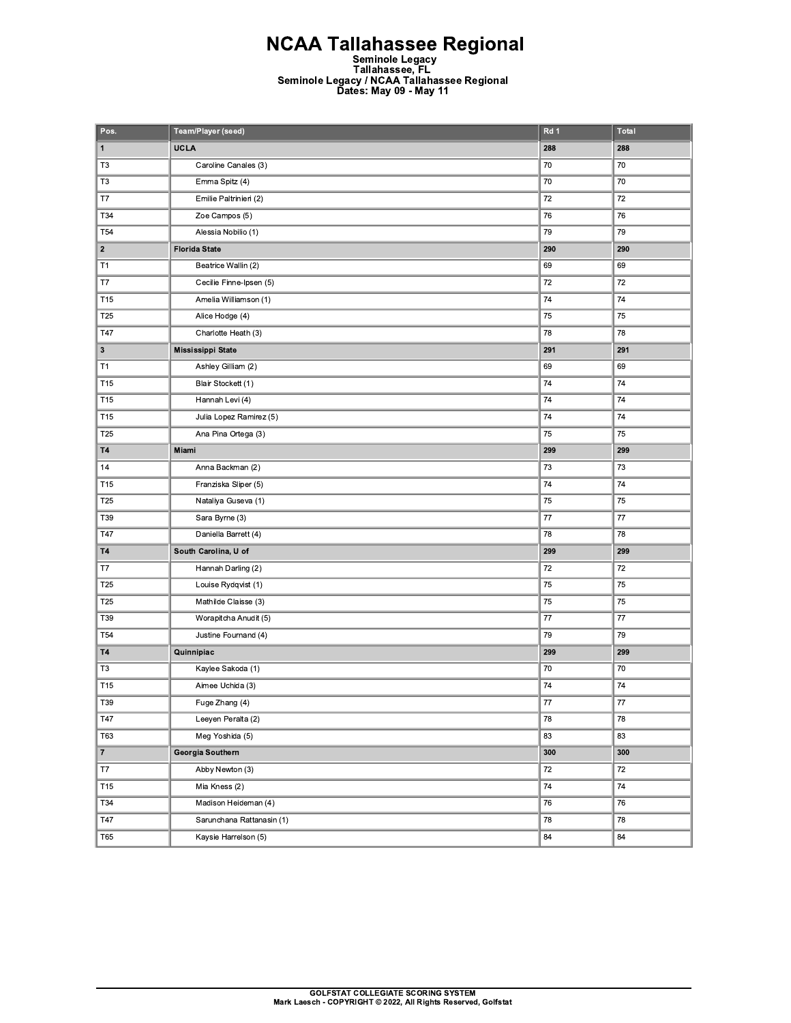**NCAA Tallahassee Regional**<br>Seminole Legacy<br>Tallahassee, FL<br>Seminole Legacy / NCAA Tallahassee Regional<br>Dates: May 09 - May 11

| Pos.             | Team/Player (seed)        | Rd 1    | <b>Total</b> |
|------------------|---------------------------|---------|--------------|
| $\mathbf{1}$     | <b>UCLA</b>               | 288     | 288          |
| T <sub>3</sub>   | Caroline Canales (3)      | 70      | 70           |
| T <sub>3</sub>   | Emma Spitz (4)            | 70      | 70           |
| T7               | Emilie Paltrinieri (2)    | 72      | 72           |
| T34              | Zoe Campos (5)            | 76      | 76           |
| T <sub>54</sub>  | Alessia Nobilio (1)       | 79      | 79           |
| $\boldsymbol{2}$ | <b>Florida State</b>      | 290     | 290          |
| T <sub>1</sub>   | Beatrice Wallin (2)       | 69      | 69           |
| T7               | Cecilie Finne-Ipsen (5)   | 72      | 72           |
| T <sub>15</sub>  | Amelia Williamson (1)     | 74      | 74           |
| T25              | Alice Hodge (4)           | 75      | 75           |
| T47              | Charlotte Heath (3)       | 78      | 78           |
| $\mathbf 3$      | Mississippi State         | 291     | 291          |
| T1               | Ashley Gilliam (2)        | 69      | 69           |
| T <sub>15</sub>  | Blair Stockett (1)        | 74      | 74           |
| T <sub>15</sub>  | Hannah Levi (4)           | 74      | 74           |
| T15              | Julia Lopez Ramirez (5)   | 74      | 74           |
| T <sub>25</sub>  | Ana Pina Ortega (3)       | 75      | 75           |
| <b>T4</b>        | Miami                     | 299     | 299          |
| 14               | Anna Backman (2)          | 73      | 73           |
| T <sub>15</sub>  | Franziska Sliper (5)      | 74      | 74           |
| T25              | Nataliya Guseva (1)       | 75      | 75           |
| T39              | Sara Byrne (3)            | 77      | 77           |
| T47              | Daniella Barrett (4)      | 78      | 78           |
| <b>T4</b>        | South Carolina, U of      | 299     | 299          |
| T7               | Hannah Darling (2)        | 72      | 72           |
| T25              | Louise Rydqvist (1)       | 75      | 75           |
| T25              | Mathilde Claisse (3)      | 75      | 75           |
| T39              | Worapitcha Anudit (5)     | 77      | 77           |
| T <sub>54</sub>  | Justine Fournand (4)      | 79      | 79           |
| <b>T4</b>        | Quinnipiac                | 299     | 299          |
| T <sub>3</sub>   | Kaylee Sakoda (1)         | 70      | 70           |
| T <sub>15</sub>  | Aimee Uchida (3)          | 74      | 74           |
| T39              | Fuge Zhang (4)            | $77 \,$ | $77 \,$      |
| <b>T47</b>       | Leeyen Peralta (2)        | 78      | 78           |
| T63              | Meg Yoshida (5)           | 83      | 83           |
| $\bf 7$          | Georgia Southern          | 300     | 300          |
| T7               | Abby Newton (3)           | 72      | 72           |
| T15              | Mia Kness (2)             | 74      | 74           |
| T34              | Madison Heideman (4)      | 76      | 76           |
| <b>T47</b>       | Sarunchana Rattanasin (1) | 78      | 78           |
| T65              | Kaysie Harrelson (5)      | 84      | 84           |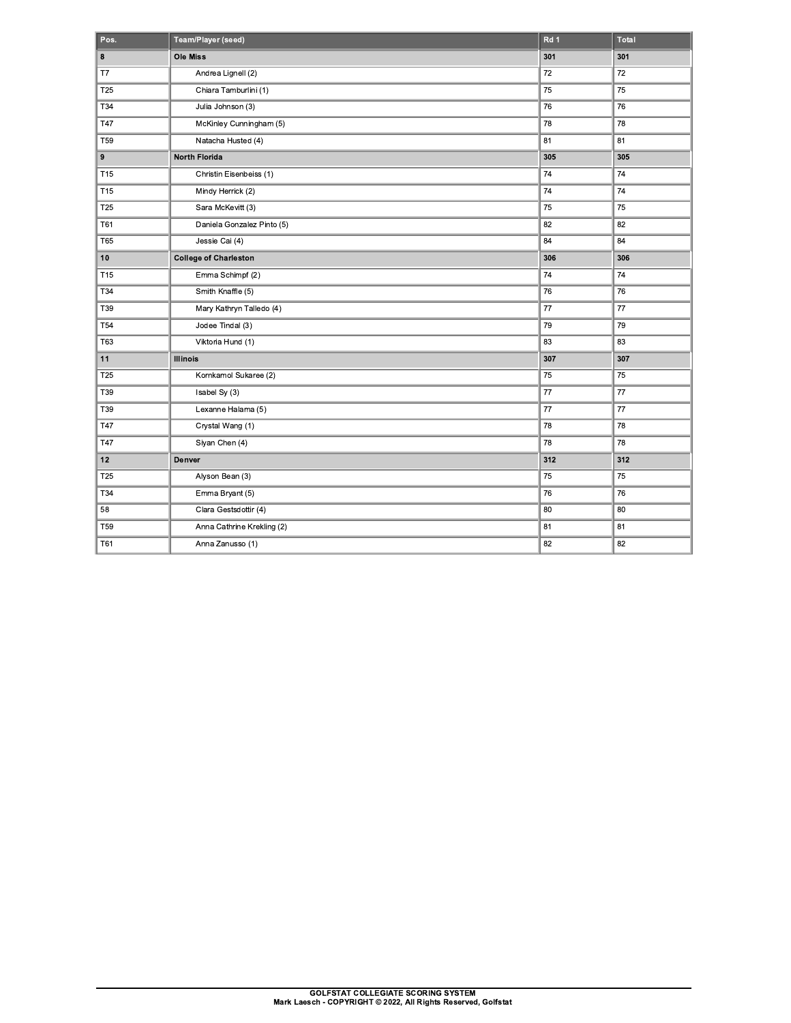| Pos.            | Team/Player (seed)           | Rd <sub>1</sub> | Total    |
|-----------------|------------------------------|-----------------|----------|
| 8               | <b>Ole Miss</b>              | 301             | 301      |
| T7              | Andrea Lignell (2)           | 72              | 72       |
| T25             | Chiara Tamburlini (1)        | 75              | 75       |
| T34             | Julia Johnson (3)            | 76              | 76       |
| T47             | McKinley Cunningham (5)      | 78              | 78       |
| <b>T59</b>      | Natacha Husted (4)           | 81              | 81       |
| 9               | <b>North Florida</b>         | 305             | 305      |
| T <sub>15</sub> | Christin Eisenbeiss (1)      | 74              | $\bf 74$ |
| T <sub>15</sub> | Mindy Herrick (2)            | 74              | 74       |
| T25             | Sara McKevitt (3)            | 75              | 75       |
| T61             | Daniela Gonzalez Pinto (5)   | 82              | 82       |
| <b>T65</b>      | Jessie Cai (4)               | 84              | 84       |
| 10              | <b>College of Charleston</b> | 306             | 306      |
| T <sub>15</sub> | Emma Schimpf (2)             | 74              | 74       |
| T34             | Smith Knaffle (5)            | 76              | 76       |
| T39             | Mary Kathryn Talledo (4)     | 77              | 77       |
| <b>T54</b>      | Jodee Tindal (3)             | 79              | 79       |
| <b>T63</b>      | Viktoria Hund (1)            | 83              | 83       |
| 11              | <b>Illinois</b>              | 307             | 307      |
| T25             | Kornkamol Sukaree (2)        | 75              | 75       |
| T39             | Isabel Sy (3)                | 77              | 77       |
| T39             | Lexanne Halama (5)           | 77              | 77       |
| T47             | Crystal Wang (1)             | 78              | 78       |
| T47             | Siyan Chen (4)               | 78              | 78       |
| 12              | Denver                       | 312             | 312      |
| T <sub>25</sub> | Alyson Bean (3)              | 75              | 75       |
| <b>T34</b>      | Emma Bryant (5)              | 76              | 76       |
| 58              | Clara Gestsdottir (4)        | 80              | 80       |
| T59             | Anna Cathrine Krekling (2)   | 81              | 81       |
| T61             | Anna Zanusso (1)             | 82              | 82       |